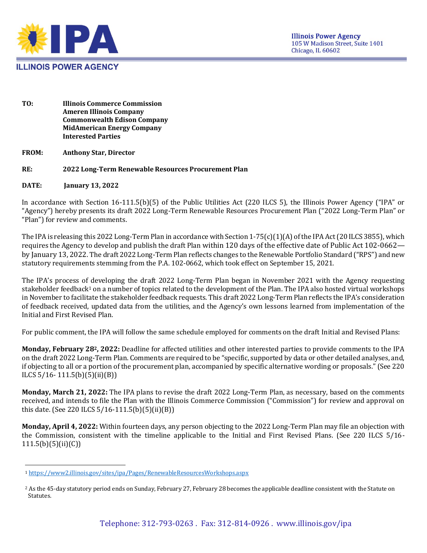

- **TO: Illinois Commerce Commission Ameren Illinois Company Commonwealth Edison Company MidAmerican Energy Company Interested Parties**
- **FROM: Anthony Star, Director**

## **RE: 2022 Long-Term Renewable Resources Procurement Plan**

**DATE: January 13, 2022**

In accordance with Section 16-111.5(b)(5) of the Public Utilities Act (220 ILCS 5), the Illinois Power Agency ("IPA" or "Agency") hereby presents its draft 2022 Long-Term Renewable Resources Procurement Plan ("2022 Long-Term Plan" or "Plan") for review and comments.

The IPA is releasing this 2022 Long-Term Plan in accordance with Section 1-75(c)(1)(A) of the IPA Act (20 ILCS 3855), which requires the Agency to develop and publish the draft Plan within 120 days of the effective date of Public Act 102-0662 by January 13, 2022. The draft 2022 Long-Term Plan reflects changes to the Renewable Portfolio Standard ("RPS") and new statutory requirements stemming from the P.A. 102-0662, which took effect on September 15, 2021.

The IPA's process of developing the draft 2022 Long-Term Plan began in November 2021 with the Agency requesting stakeholder feedback<sup>1</sup> on a number of topics related to the development of the Plan. The IPA also hosted virtual workshops in November to facilitate the stakeholder feedback requests. This draft 2022 Long-Term Plan reflects the IPA's consideration of feedback received, updated data from the utilities, and the Agency's own lessons learned from implementation of the Initial and First Revised Plan.

For public comment, the IPA will follow the same schedule employed for comments on the draft Initial and Revised Plans:

**Monday, February 282, 2022:** Deadline for affected utilities and other interested parties to provide comments to the IPA on the draft 2022 Long-Term Plan. Comments are required to be "specific, supported by data or other detailed analyses, and, if objecting to all or a portion of the procurement plan, accompanied by specific alternative wording or proposals." (See 220 ILCS  $5/16 - 111.5(b)(5)(ii)(B)$ 

**Monday, March 21, 2022:** The IPA plans to revise the draft 2022 Long-Term Plan, as necessary, based on the comments received, and intends to file the Plan with the Illinois Commerce Commission ("Commission") for review and approval on this date. (See 220 ILCS 5/16-111.5(b)(5)(ii)(B))

**Monday, April 4, 2022:** Within fourteen days, any person objecting to the 2022 Long-Term Plan may file an objection with the Commission, consistent with the timeline applicable to the Initial and First Revised Plans. (See 220 ILCS 5/16- 111.5(b)(5)(ii)(C))

<sup>1</sup> <https://www2.illinois.gov/sites/ipa/Pages/RenewableResourcesWorkshops.aspx>

<sup>&</sup>lt;sup>2</sup> As the 45-day statutory period ends on Sunday, February 27, February 28 becomes the applicable deadline consistent with the Statute on Statutes.